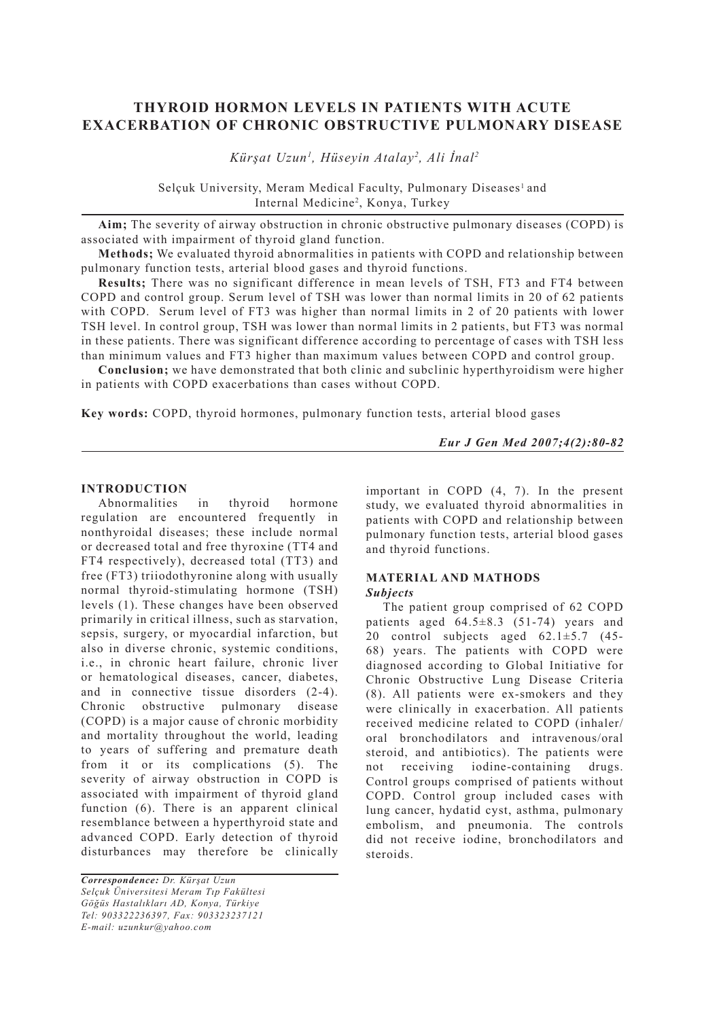# **THYROID HORMON LEVELS IN PATIENTS WITH ACUTE EXACERBATION OF CHRONIC OBSTRUCTIVE PULMONARY DISEASE**

 *Kürşat Uzun1 , Hüseyin Atalay2 , Ali İnal2*

Selçuk University, Meram Medical Faculty, Pulmonary Diseases<sup>1</sup> and Internal Medicine<sup>2</sup>, Konya, Turkey

**Aim;** The severity of airway obstruction in chronic obstructive pulmonary diseases (COPD) is associated with impairment of thyroid gland function.

**Methods;** We evaluated thyroid abnormalities in patients with COPD and relationship between pulmonary function tests, arterial blood gases and thyroid functions.

**Results;** There was no significant difference in mean levels of TSH, FT3 and FT4 between COPD and control group. Serum level of TSH was lower than normal limits in 20 of 62 patients with COPD. Serum level of FT3 was higher than normal limits in 2 of 20 patients with lower TSH level. In control group, TSH was lower than normal limits in 2 patients, but FT3 was normal in these patients. There was significant difference according to percentage of cases with TSH less than minimum values and FT3 higher than maximum values between COPD and control group.

**Conclusion;** we have demonstrated that both clinic and subclinic hyperthyroidism were higher in patients with COPD exacerbations than cases without COPD.

**Key words:** COPD, thyroid hormones, pulmonary function tests, arterial blood gases

*Eur J Gen Med 2007;4(2):80-82*

### **INTRODUCTION**

Abnormalities in thyroid hormone regulation are encountered frequently in nonthyroidal diseases; these include normal or decreased total and free thyroxine (TT4 and FT4 respectively), decreased total (TT3) and free (FT3) triiodothyronine along with usually normal thyroid-stimulating hormone (TSH) levels (1). These changes have been observed primarily in critical illness, such as starvation, sepsis, surgery, or myocardial infarction, but also in diverse chronic, systemic conditions, i.e., in chronic heart failure, chronic liver or hematological diseases, cancer, diabetes, and in connective tissue disorders (2-4). Chronic obstructive pulmonary disease (COPD) is a major cause of chronic morbidity and mortality throughout the world, leading to years of suffering and premature death from it or its complications (5). The severity of airway obstruction in COPD is associated with impairment of thyroid gland function (6). There is an apparent clinical resemblance between a hyperthyroid state and advanced COPD. Early detection of thyroid disturbances may therefore be clinically

*Correspondence: Dr. Kürşat Uzun Selçuk Üniversitesi Meram Tıp Fakültesi Göğüs Hastalıkları AD, Konya, Türkiye Tel: 903322236397, Fax: 903323237121 E-mail: uzunkur@yahoo.com*

important in COPD (4, 7). In the present study, we evaluated thyroid abnormalities in patients with COPD and relationship between pulmonary function tests, arterial blood gases and thyroid functions.

# **MATERIAL AND MATHODS**

## *Subjects*

The patient group comprised of 62 COPD patients aged  $64.5\pm8.3$  (51-74) years and 20 control subjects aged  $62.1 \pm 5.7$  (45-68) years. The patients with COPD were diagnosed according to Global Initiative for Chronic Obstructive Lung Disease Criteria (8). All patients were ex-smokers and they were clinically in exacerbation. All patients received medicine related to COPD (inhaler/ oral bronchodilators and intravenous/oral steroid, and antibiotics). The patients were not receiving iodine-containing drugs. Control groups comprised of patients without COPD. Control group included cases with lung cancer, hydatid cyst, asthma, pulmonary embolism, and pneumonia. The controls did not receive iodine, bronchodilators and steroids.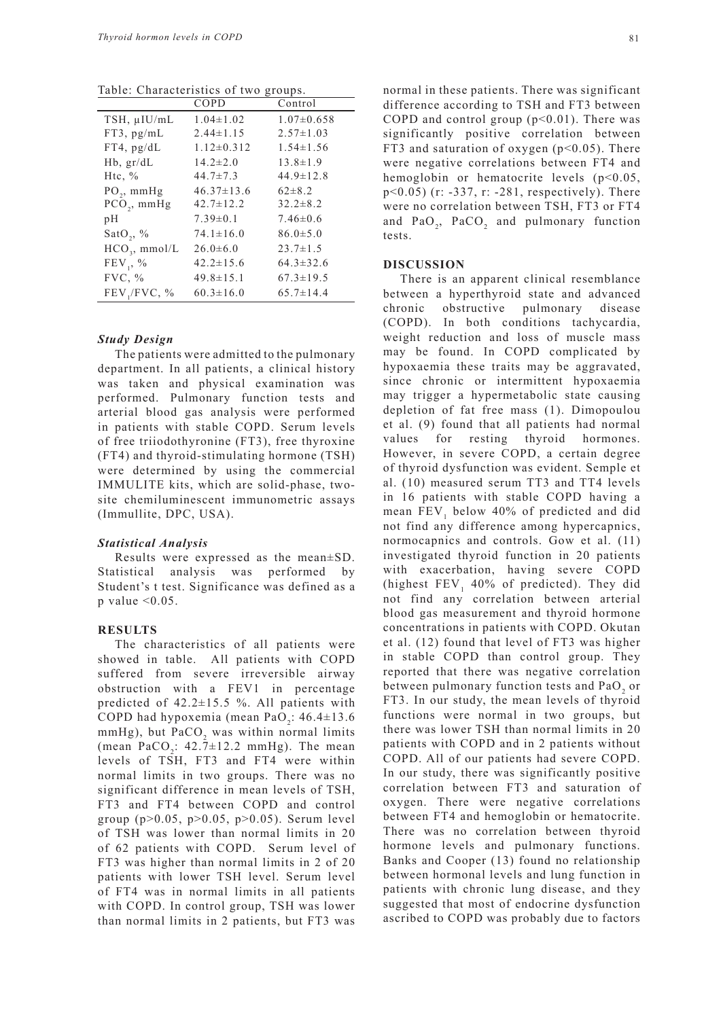Table: Characteristics of two groups.

|                  | COPD             | Control          |
|------------------|------------------|------------------|
| TSH, µIU/mL      | $1.04 \pm 1.02$  | $1.07 \pm 0.658$ |
| $FT3$ , $pg/mL$  | $2.44 \pm 1.15$  | $2.57 \pm 1.03$  |
| $FT4$ , $pg/dL$  | $1.12 \pm 0.312$ | $1.54 \pm 1.56$  |
| $Hb$ , $gr/dL$   | $14.2 \pm 2.0$   | $13.8 \pm 1.9$   |
| Htc, $\%$        | $44.7 \pm 7.3$   | $44.9 \pm 12.8$  |
| $PO_2$ , mmHg    | $46.37 \pm 13.6$ | $62 \pm 8.2$     |
| $PCO_{2}$ , mmHg | $42.7 \pm 12.2$  | $32.2 \pm 8.2$   |
| pH               | $7.39 \pm 0.1$   | $7.46 \pm 0.6$   |
| SatO,, $\%$      | $74.1 \pm 16.0$  | $86.0 \pm 5.0$   |
| $HCO3$ , mmol/L  | $26.0\pm 6.0$    | $23.7 \pm 1.5$   |
| $FEV_1, %$       | $42.2 \pm 15.6$  | $64.3 \pm 32.6$  |
| FVC, %           | $49.8 \pm 15.1$  | $67.3 \pm 19.5$  |
| FEV,/FVC, %      | $60.3 \pm 16.0$  | $65.7 \pm 14.4$  |
|                  |                  |                  |

### *Study Design*

The patients were admitted to the pulmonary department. In all patients, a clinical history was taken and physical examination was performed. Pulmonary function tests and arterial blood gas analysis were performed in patients with stable COPD. Serum levels of free triiodothyronine (FT3), free thyroxine (FT4) and thyroid-stimulating hormone (TSH) were determined by using the commercial IMMULITE kits, which are solid-phase, twosite chemiluminescent immunometric assays (Immullite, DPC, USA).

#### *Statistical Analysis*

Results were expressed as the mean±SD. Statistical analysis was performed by Student's t test. Significance was defined as a p value  $< 0.05$ .

#### **RESULTS**

The characteristics of all patients were showed in table. All patients with COPD suffered from severe irreversible airway obstruction with a FEV1 in percentage predicted of 42.2±15.5 %. All patients with COPD had hypoxemia (mean  $PaO<sub>2</sub>$ : 46.4 $\pm$ 13.6  $mmHg$ ), but  $PaCO<sub>2</sub>$  was within normal limits (mean  $PaCO_2$ :  $42.7 \pm 12.2$  mmHg). The mean levels of TSH, FT3 and FT4 were within normal limits in two groups. There was no significant difference in mean levels of TSH, FT3 and FT4 between COPD and control group (p>0.05, p>0.05, p>0.05). Serum level of TSH was lower than normal limits in 20 of 62 patients with COPD. Serum level of FT3 was higher than normal limits in 2 of 20 patients with lower TSH level. Serum level of FT4 was in normal limits in all patients with COPD. In control group, TSH was lower than normal limits in 2 patients, but FT3 was

normal in these patients. There was significant difference according to TSH and FT3 between COPD and control group  $(p<0.01)$ . There was significantly positive correlation between FT3 and saturation of oxygen  $(p<0.05)$ . There were negative correlations between FT4 and hemoglobin or hematocrite levels (p<0.05, p<0.05) (r: -337, r: -281, respectively). There were no correlation between TSH, FT3 or FT4 and  $PaO_2$ ,  $PaCO_2$  and pulmonary function tests.

#### **DISCUSSION**

There is an apparent clinical resemblance between a hyperthyroid state and advanced chronic obstructive pulmonary disease (COPD). In both conditions tachycardia, weight reduction and loss of muscle mass may be found. In COPD complicated by hypoxaemia these traits may be aggravated, since chronic or intermittent hypoxaemia may trigger a hypermetabolic state causing depletion of fat free mass (1). Dimopoulou et al. (9) found that all patients had normal values for resting thyroid hormones. However, in severe COPD, a certain degree of thyroid dysfunction was evident. Semple et al. (10) measured serum TT3 and TT4 levels in 16 patients with stable COPD having a mean  $FEV_1$  below 40% of predicted and did not find any difference among hypercapnics, normocapnics and controls. Gow et al. (11) investigated thyroid function in 20 patients with exacerbation, having severe COPD (highest  $\text{FEV}_1$  40% of predicted). They did not find any correlation between arterial blood gas measurement and thyroid hormone concentrations in patients with COPD. Okutan et al. (12) found that level of FT3 was higher in stable COPD than control group. They reported that there was negative correlation between pulmonary function tests and  $\text{PaO}_2$  or FT3. In our study, the mean levels of thyroid functions were normal in two groups, but there was lower TSH than normal limits in 20 patients with COPD and in 2 patients without COPD. All of our patients had severe COPD. In our study, there was significantly positive correlation between FT3 and saturation of oxygen. There were negative correlations between FT4 and hemoglobin or hematocrite. There was no correlation between thyroid hormone levels and pulmonary functions. Banks and Cooper (13) found no relationship between hormonal levels and lung function in patients with chronic lung disease, and they suggested that most of endocrine dysfunction ascribed to COPD was probably due to factors